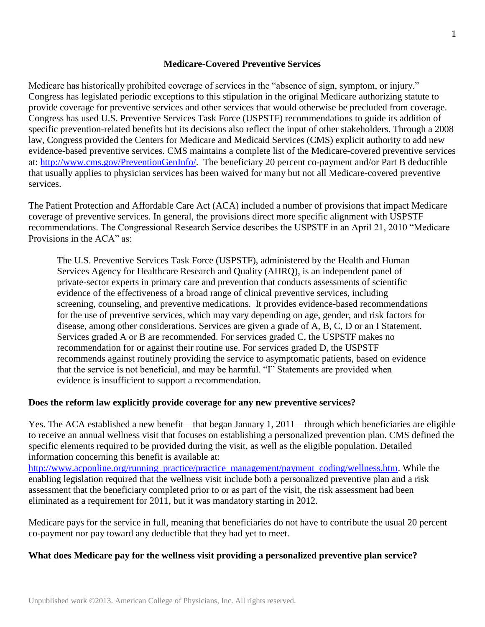#### **Medicare-Covered Preventive Services**

Medicare has historically prohibited coverage of services in the "absence of sign, symptom, or injury." Congress has legislated periodic exceptions to this stipulation in the original Medicare authorizing statute to provide coverage for preventive services and other services that would otherwise be precluded from coverage. Congress has used U.S. Preventive Services Task Force (USPSTF) recommendations to guide its addition of specific prevention-related benefits but its decisions also reflect the input of other stakeholders. Through a 2008 law, Congress provided the Centers for Medicare and Medicaid Services (CMS) explicit authority to add new evidence-based preventive services. CMS maintains a complete list of the Medicare-covered preventive services at: [http://www.cms.gov/PreventionGenInfo/.](http://www.cms.gov/PrevntionGenInfo/) The beneficiary 20 percent co-payment and/or Part B deductible that usually applies to physician services has been waived for many but not all Medicare-covered preventive services.

The Patient Protection and Affordable Care Act (ACA) included a number of provisions that impact Medicare coverage of preventive services. In general, the provisions direct more specific alignment with USPSTF recommendations. The Congressional Research Service describes the USPSTF in an April 21, 2010 "Medicare Provisions in the ACA" as:

The U.S. Preventive Services Task Force (USPSTF), administered by the Health and Human Services Agency for Healthcare Research and Quality (AHRQ), is an independent panel of private-sector experts in primary care and prevention that conducts assessments of scientific evidence of the effectiveness of a broad range of clinical preventive services, including screening, counseling, and preventive medications. It provides evidence-based recommendations for the use of preventive services, which may vary depending on age, gender, and risk factors for disease, among other considerations. Services are given a grade of A, B, C, D or an I Statement. Services graded A or B are recommended. For services graded C, the USPSTF makes no recommendation for or against their routine use. For services graded D, the USPSTF recommends against routinely providing the service to asymptomatic patients, based on evidence that the service is not beneficial, and may be harmful. "I" Statements are provided when evidence is insufficient to support a recommendation.

#### **Does the reform law explicitly provide coverage for any new preventive services?**

Yes. The ACA established a new benefit—that began January 1, 2011—through which beneficiaries are eligible to receive an annual wellness visit that focuses on establishing a personalized prevention plan. CMS defined the specific elements required to be provided during the visit, as well as the eligible population. Detailed information concerning this benefit is available at: [http://www.acponline.org/running\\_practice/practice\\_management/payment\\_coding/wellness.htm.](http://www.acponline.org/running_practice/practice_management/payment_coding/wellness.htm) While the enabling legislation required that the wellness visit include both a personalized preventive plan and a risk assessment that the beneficiary completed prior to or as part of the visit, the risk assessment had been eliminated as a requirement for 2011, but it was mandatory starting in 2012.

Medicare pays for the service in full, meaning that beneficiaries do not have to contribute the usual 20 percent co-payment nor pay toward any deductible that they had yet to meet.

#### **What does Medicare pay for the wellness visit providing a personalized preventive plan service?**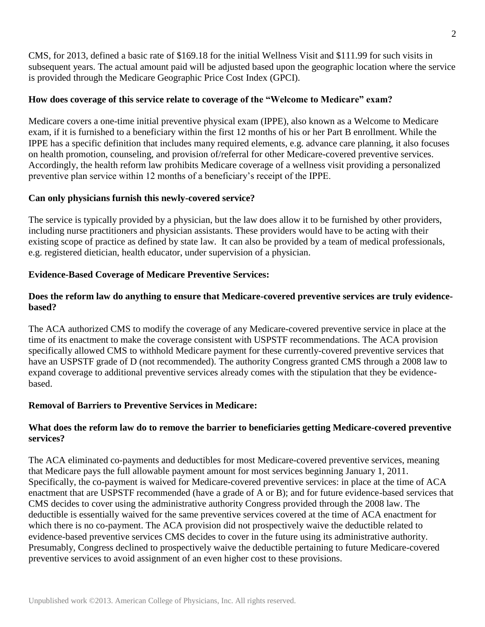CMS, for 2013, defined a basic rate of \$169.18 for the initial Wellness Visit and \$111.99 for such visits in subsequent years. The actual amount paid will be adjusted based upon the geographic location where the service is provided through the Medicare Geographic Price Cost Index (GPCI).

## **How does coverage of this service relate to coverage of the "Welcome to Medicare" exam?**

Medicare covers a one-time initial preventive physical exam (IPPE), also known as a Welcome to Medicare exam, if it is furnished to a beneficiary within the first 12 months of his or her Part B enrollment. While the IPPE has a specific definition that includes many required elements, e.g. advance care planning, it also focuses on health promotion, counseling, and provision of/referral for other Medicare-covered preventive services. Accordingly, the health reform law prohibits Medicare coverage of a wellness visit providing a personalized preventive plan service within 12 months of a beneficiary's receipt of the IPPE.

## **Can only physicians furnish this newly-covered service?**

The service is typically provided by a physician, but the law does allow it to be furnished by other providers, including nurse practitioners and physician assistants. These providers would have to be acting with their existing scope of practice as defined by state law. It can also be provided by a team of medical professionals, e.g. registered dietician, health educator, under supervision of a physician.

## **Evidence-Based Coverage of Medicare Preventive Services:**

## **Does the reform law do anything to ensure that Medicare-covered preventive services are truly evidencebased?**

The ACA authorized CMS to modify the coverage of any Medicare-covered preventive service in place at the time of its enactment to make the coverage consistent with USPSTF recommendations. The ACA provision specifically allowed CMS to withhold Medicare payment for these currently-covered preventive services that have an USPSTF grade of D (not recommended). The authority Congress granted CMS through a 2008 law to expand coverage to additional preventive services already comes with the stipulation that they be evidencebased.

# **Removal of Barriers to Preventive Services in Medicare:**

## **What does the reform law do to remove the barrier to beneficiaries getting Medicare-covered preventive services?**

The ACA eliminated co-payments and deductibles for most Medicare-covered preventive services, meaning that Medicare pays the full allowable payment amount for most services beginning January 1, 2011. Specifically, the co-payment is waived for Medicare-covered preventive services: in place at the time of ACA enactment that are USPSTF recommended (have a grade of A or B); and for future evidence-based services that CMS decides to cover using the administrative authority Congress provided through the 2008 law. The deductible is essentially waived for the same preventive services covered at the time of ACA enactment for which there is no co-payment. The ACA provision did not prospectively waive the deductible related to evidence-based preventive services CMS decides to cover in the future using its administrative authority. Presumably, Congress declined to prospectively waive the deductible pertaining to future Medicare-covered preventive services to avoid assignment of an even higher cost to these provisions.